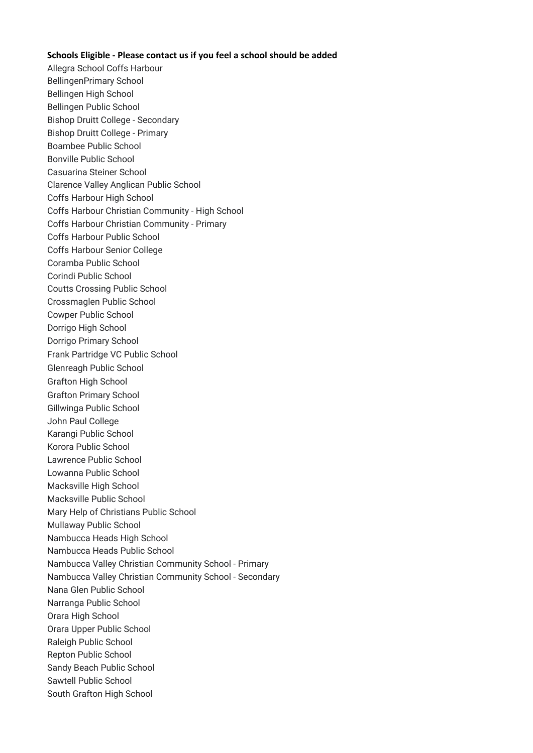## **Schools Eligible - Please contact us if you feel a school should be added**

Allegra School Coffs Harbour BellingenPrimary School Bellingen High School Bellingen Public School Bishop Druitt College - Secondary Bishop Druitt College - Primary Boambee Public School Bonville Public School Casuarina Steiner School Clarence Valley Anglican Public School Coffs Harbour High School Coffs Harbour Christian Community - High School Coffs Harbour Christian Community - Primary Coffs Harbour Public School Coffs Harbour Senior College Coramba Public School Corindi Public School Coutts Crossing Public School Crossmaglen Public School Cowper Public School Dorrigo High School Dorrigo Primary School Frank Partridge VC Public School Glenreagh Public School Grafton High School Grafton Primary School Gillwinga Public School John Paul College Karangi Public School Korora Public School Lawrence Public School Lowanna Public School Macksville High School Macksville Public School Mary Help of Christians Public School Mullaway Public School Nambucca Heads High School Nambucca Heads Public School Nambucca Valley Christian Community School - Primary Nambucca Valley Christian Community School - Secondary Nana Glen Public School Narranga Public School Orara High School Orara Upper Public School Raleigh Public School Repton Public School Sandy Beach Public School Sawtell Public School South Grafton High School